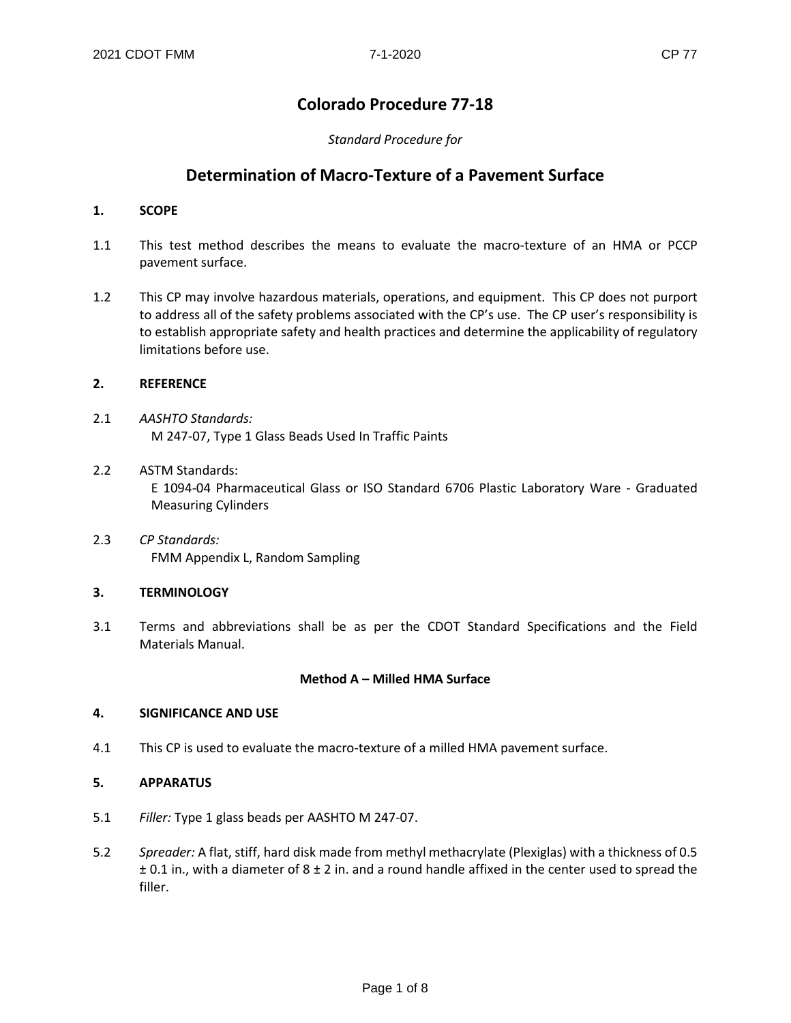### **Colorado Procedure 77-18**

### *Standard Procedure for*

### **Determination of Macro-Texture of a Pavement Surface**

### **1. SCOPE**

- 1.1 This test method describes the means to evaluate the macro-texture of an HMA or PCCP pavement surface.
- 1.2 This CP may involve hazardous materials, operations, and equipment. This CP does not purport to address all of the safety problems associated with the CP's use. The CP user's responsibility is to establish appropriate safety and health practices and determine the applicability of regulatory limitations before use.

### **2. REFERENCE**

- 2.1 *AASHTO Standards:* M 247-07, Type 1 Glass Beads Used In Traffic Paints
- 2.2 ASTM Standards: E 1094-04 Pharmaceutical Glass or ISO Standard 6706 Plastic Laboratory Ware - Graduated Measuring Cylinders
- 2.3 *CP Standards:* FMM Appendix L, Random Sampling

### **3. TERMINOLOGY**

3.1 Terms and abbreviations shall be as per the CDOT Standard Specifications and the Field Materials Manual.

### **Method A – Milled HMA Surface**

### **4. SIGNIFICANCE AND USE**

4.1 This CP is used to evaluate the macro-texture of a milled HMA pavement surface.

### **5. APPARATUS**

- 5.1 *Filler:* Type 1 glass beads per AASHTO M 247-07.
- 5.2 *Spreader:* A flat, stiff, hard disk made from methyl methacrylate (Plexiglas) with a thickness of 0.5  $\pm$  0.1 in., with a diameter of 8  $\pm$  2 in. and a round handle affixed in the center used to spread the filler.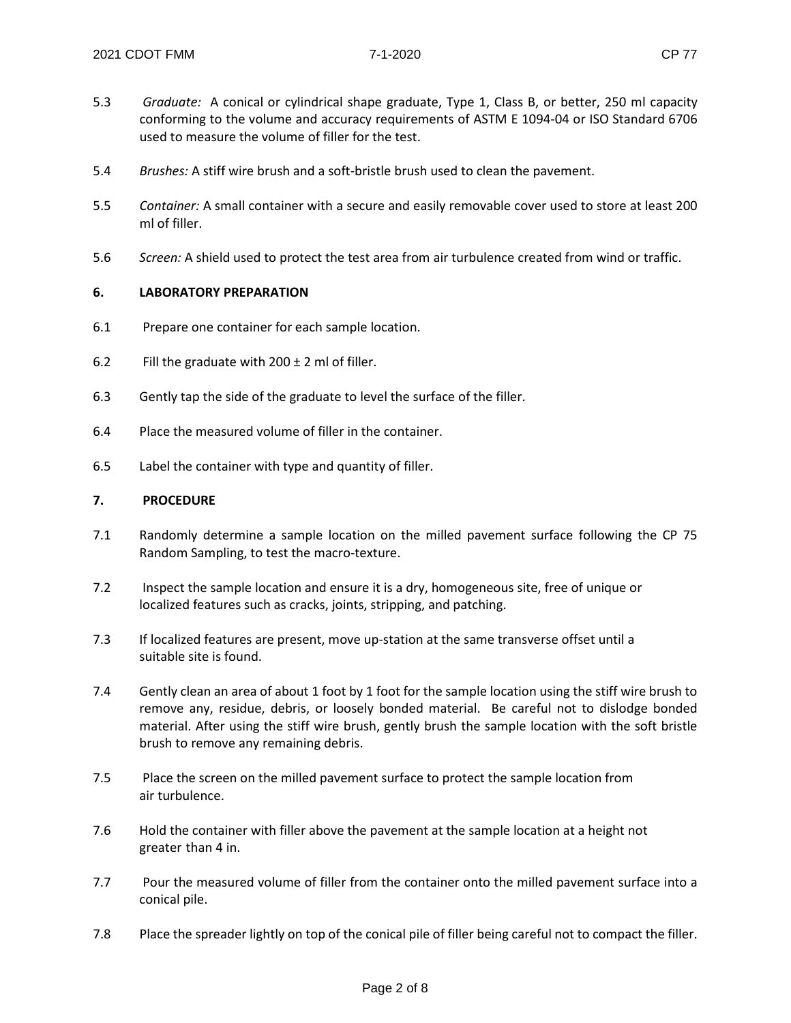- 
- 5.3 *Graduate:* A conical or cylindrical shape graduate, Type 1, Class B, or better, 250 ml capacity conforming to the volume and accuracy requirements of ASTM E 1094-04 or ISO Standard 6706 used to measure the volume of filler for the test.
- 5.4 *Brushes:* A stiff wire brush and a soft-bristle brush used to clean the pavement.
- 5.5 *Container:* A small container with a secure and easily removable cover used to store at least 200 ml of filler.
- 5.6 *Screen:* A shield used to protect the test area from air turbulence created from wind or traffic.

### **6. LABORATORY PREPARATION**

- 6.1 Prepare one container for each sample location.
- 6.2 Fill the graduate with  $200 \pm 2$  ml of filler.
- 6.3 Gently tap the side of the graduate to level the surface of the filler.
- 6.4 Place the measured volume of filler in the container.
- 6.5 Label the container with type and quantity of filler.

### **7. PROCEDURE**

- 7.1 Randomly determine a sample location on the milled pavement surface following the CP 75 Random Sampling, to test the macro-texture.
- 7.2 Inspect the sample location and ensure it is a dry, homogeneous site, free of unique or localized features such as cracks, joints, stripping, and patching.
- 7.3 If localized features are present, move up-station at the same transverse offset until a suitable site is found.
- 7.4 Gently clean an area of about 1 foot by 1 foot for the sample location using the stiff wire brush to remove any, residue, debris, or loosely bonded material. Be careful not to dislodge bonded material. After using the stiff wire brush, gently brush the sample location with the soft bristle brush to remove any remaining debris.
- 7.5 Place the screen on the milled pavement surface to protect the sample location from air turbulence.
- 7.6 Hold the container with filler above the pavement at the sample location at a height not greater than 4 in.
- 7.7 Pour the measured volume of filler from the container onto the milled pavement surface into a conical pile.
- 7.8 Place the spreader lightly on top of the conical pile of filler being careful not to compact the filler.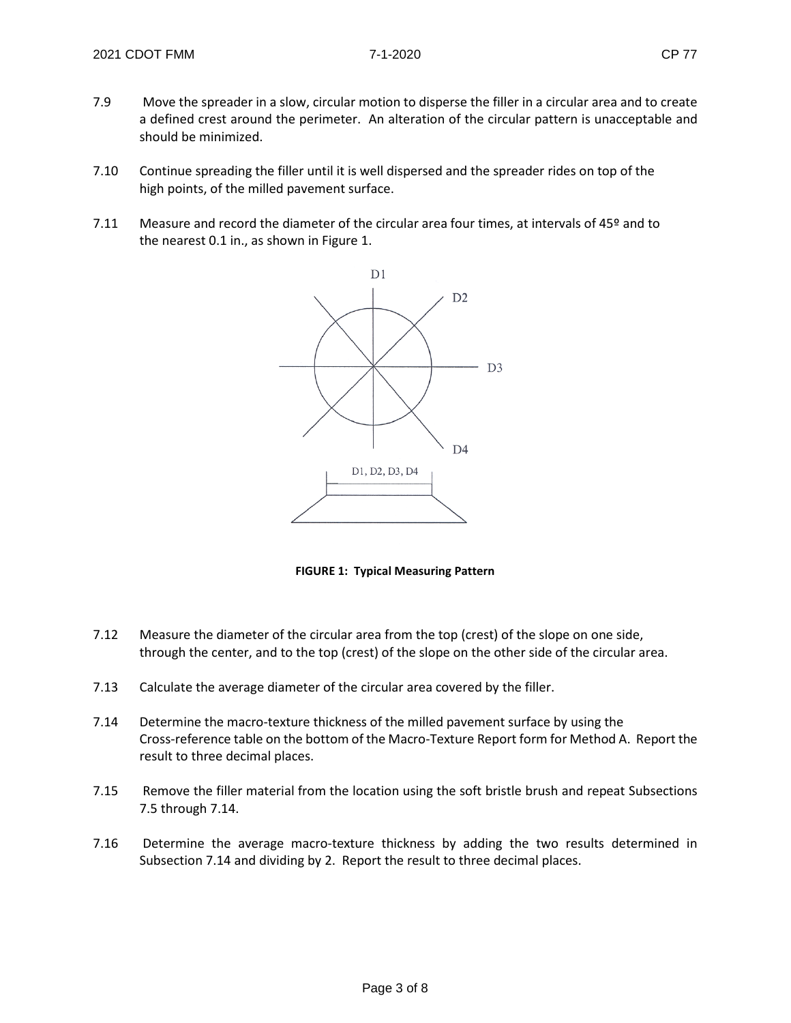- 7.9 Move the spreader in a slow, circular motion to disperse the filler in a circular area and to create a defined crest around the perimeter. An alteration of the circular pattern is unacceptable and should be minimized.
- 7.10 Continue spreading the filler until it is well dispersed and the spreader rides on top of the high points, of the milled pavement surface.
- 7.11 Measure and record the diameter of the circular area four times, at intervals of 45º and to the nearest 0.1 in., as shown in Figure 1.



**FIGURE 1: Typical Measuring Pattern**

- 7.12 Measure the diameter of the circular area from the top (crest) of the slope on one side, through the center, and to the top (crest) of the slope on the other side of the circular area.
- 7.13 Calculate the average diameter of the circular area covered by the filler.
- 7.14 Determine the macro-texture thickness of the milled pavement surface by using the Cross-reference table on the bottom of the Macro-Texture Report form for Method A. Report the result to three decimal places.
- 7.15 Remove the filler material from the location using the soft bristle brush and repeat Subsections 7.5 through 7.14.
- 7.16 Determine the average macro-texture thickness by adding the two results determined in Subsection 7.14 and dividing by 2. Report the result to three decimal places.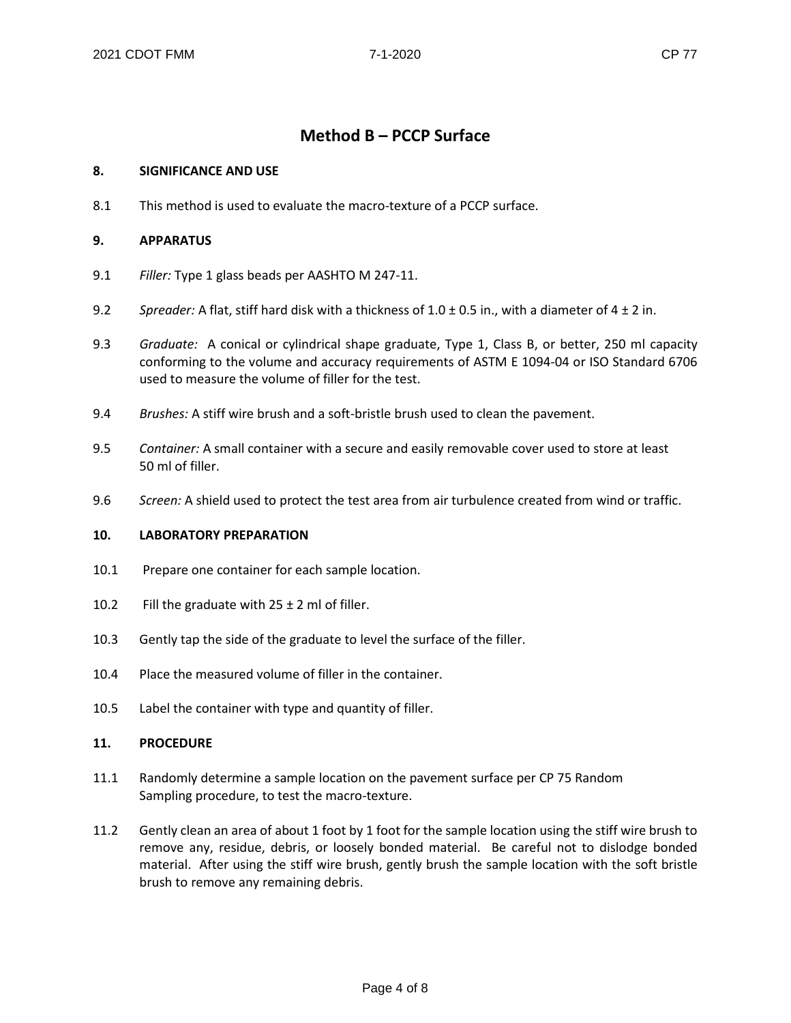### **Method B – PCCP Surface**

### **8. SIGNIFICANCE AND USE**

8.1 This method is used to evaluate the macro-texture of a PCCP surface.

### **9. APPARATUS**

- 9.1 *Filler:* Type 1 glass beads per AASHTO M 247-11.
- 9.2 *Spreader:* A flat, stiff hard disk with a thickness of 1.0 ± 0.5 in., with a diameter of 4 ± 2 in.
- 9.3 *Graduate:* A conical or cylindrical shape graduate, Type 1, Class B, or better, 250 ml capacity conforming to the volume and accuracy requirements of ASTM E 1094-04 or ISO Standard 6706 used to measure the volume of filler for the test.
- 9.4 *Brushes:* A stiff wire brush and a soft-bristle brush used to clean the pavement.
- 9.5 *Container:* A small container with a secure and easily removable cover used to store at least 50 ml of filler.
- 9.6 *Screen:* A shield used to protect the test area from air turbulence created from wind or traffic.

### **10. LABORATORY PREPARATION**

- 10.1 Prepare one container for each sample location.
- 10.2 Fill the graduate with  $25 \pm 2$  ml of filler.
- 10.3 Gently tap the side of the graduate to level the surface of the filler.
- 10.4 Place the measured volume of filler in the container.
- 10.5 Label the container with type and quantity of filler.

### **11. PROCEDURE**

- 11.1 Randomly determine a sample location on the pavement surface per CP 75 Random Sampling procedure, to test the macro-texture.
- 11.2 Gently clean an area of about 1 foot by 1 foot for the sample location using the stiff wire brush to remove any, residue, debris, or loosely bonded material. Be careful not to dislodge bonded material. After using the stiff wire brush, gently brush the sample location with the soft bristle brush to remove any remaining debris.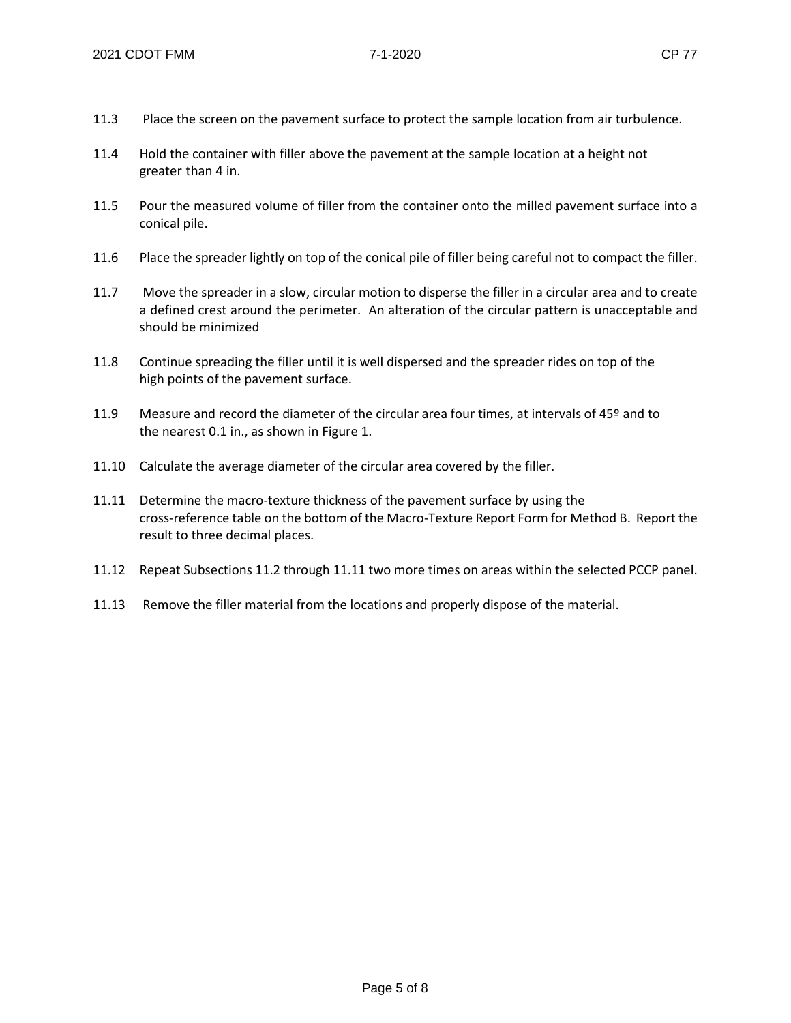- 11.3 Place the screen on the pavement surface to protect the sample location from air turbulence.
- 11.4 Hold the container with filler above the pavement at the sample location at a height not greater than 4 in.
- 11.5 Pour the measured volume of filler from the container onto the milled pavement surface into a conical pile.
- 11.6 Place the spreader lightly on top of the conical pile of filler being careful not to compact the filler.
- 11.7 Move the spreader in a slow, circular motion to disperse the filler in a circular area and to create a defined crest around the perimeter. An alteration of the circular pattern is unacceptable and should be minimized
- 11.8 Continue spreading the filler until it is well dispersed and the spreader rides on top of the high points of the pavement surface.
- 11.9 Measure and record the diameter of the circular area four times, at intervals of 45º and to the nearest 0.1 in., as shown in Figure 1.
- 11.10 Calculate the average diameter of the circular area covered by the filler.
- 11.11 Determine the macro-texture thickness of the pavement surface by using the cross-reference table on the bottom of the Macro-Texture Report Form for Method B. Report the result to three decimal places.
- 11.12 Repeat Subsections 11.2 through 11.11 two more times on areas within the selected PCCP panel.
- 11.13 Remove the filler material from the locations and properly dispose of the material.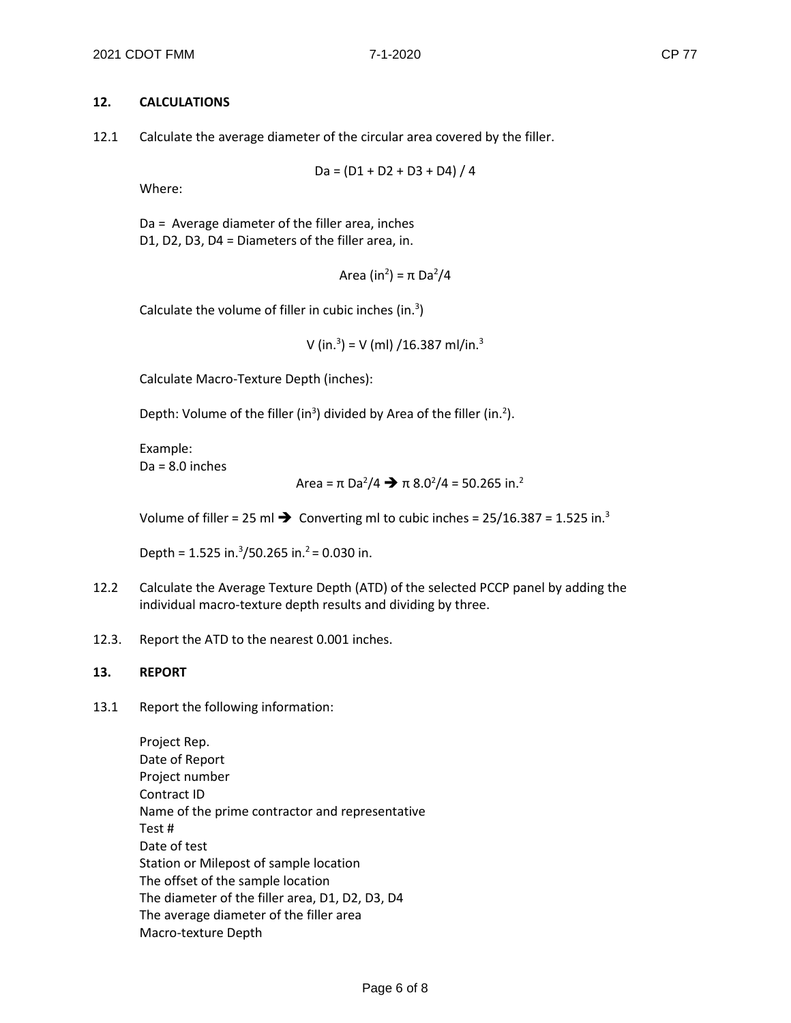### **12. CALCULATIONS**

12.1 Calculate the average diameter of the circular area covered by the filler.

$$
Da = (D1 + D2 + D3 + D4) / 4
$$

Where:

Da = Average diameter of the filler area, inches D1, D2, D3, D4 = Diameters of the filler area, in.

Area (in<sup>2</sup>) = π Da<sup>2</sup>/4

Calculate the volume of filler in cubic inches (in. $3$ )

V (in. $3$ ) = V (ml) /16.387 ml/in. $3$ 

Calculate Macro-Texture Depth (inches):

Depth: Volume of the filler (in<sup>3</sup>) divided by Area of the filler (in.<sup>2</sup>).

Example:  $Da = 8.0$  inches

Area = π Da2 /4 π 8.02 /4 = 50.265 in.2

Volume of filler = 25 ml  $\rightarrow$  Converting ml to cubic inches = 25/16.387 = 1.525 in.<sup>3</sup>

Depth =  $1.525$  in.<sup>3</sup>/50.265 in.<sup>2</sup> = 0.030 in.

- 12.2 Calculate the Average Texture Depth (ATD) of the selected PCCP panel by adding the individual macro-texture depth results and dividing by three.
- 12.3. Report the ATD to the nearest 0.001 inches.

### **13. REPORT**

13.1 Report the following information:

Project Rep. Date of Report Project number Contract ID Name of the prime contractor and representative Test # Date of test Station or Milepost of sample location The offset of the sample location The diameter of the filler area, D1, D2, D3, D4 The average diameter of the filler area Macro-texture Depth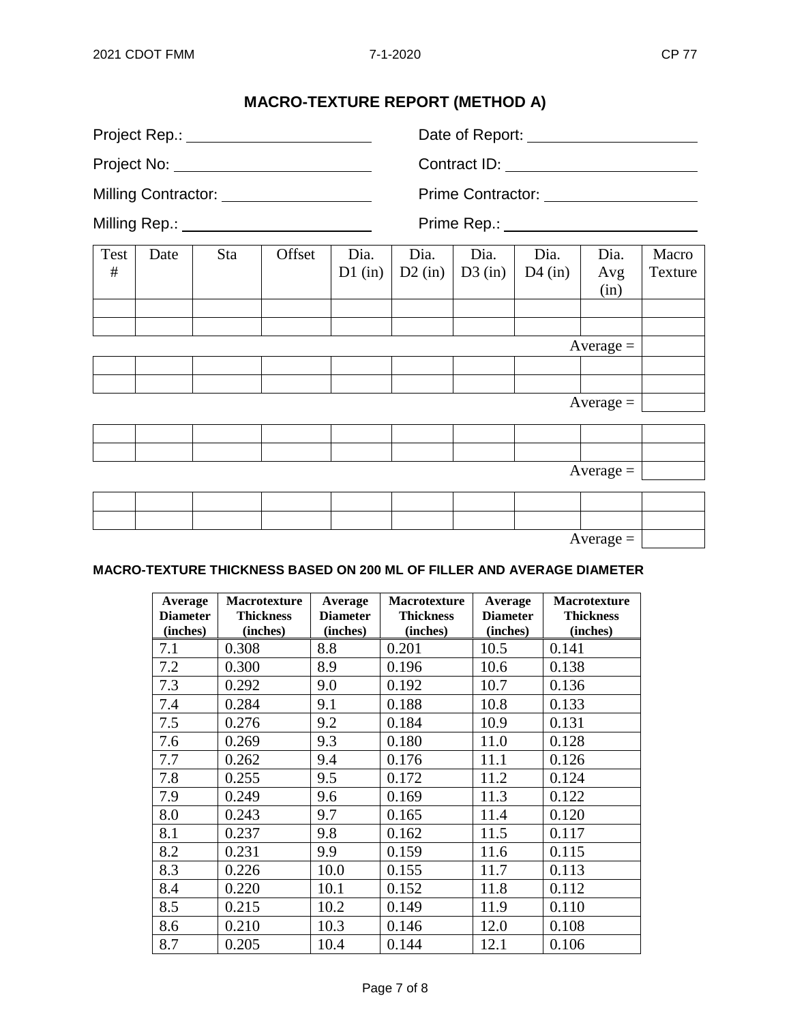## **MACRO-TEXTURE REPORT (METHOD A)**

|           |      | Project Rep.: ________________________    |        |                   |                   |                   |                                           |                     |                  |
|-----------|------|-------------------------------------------|--------|-------------------|-------------------|-------------------|-------------------------------------------|---------------------|------------------|
|           |      |                                           |        |                   |                   |                   |                                           |                     |                  |
|           |      | Milling Contractor: _____________________ |        |                   |                   |                   | Prime Contractor: _______________________ |                     |                  |
|           |      | Milling Rep.: _________________________   |        |                   |                   |                   | Prime Rep.: ________________________      |                     |                  |
| Test<br># | Date | Sta                                       | Offset | Dia.<br>$D1$ (in) | Dia.<br>$D2$ (in) | Dia.<br>$D3$ (in) | Dia.<br>$D4$ (in)                         | Dia.<br>Avg<br>(in) | Macro<br>Texture |
|           |      |                                           |        |                   |                   |                   |                                           |                     |                  |
|           |      |                                           |        |                   |                   |                   |                                           |                     |                  |
|           |      |                                           |        |                   |                   |                   |                                           | $Average =$         |                  |
|           |      |                                           |        |                   |                   |                   |                                           |                     |                  |
|           |      |                                           |        |                   |                   |                   |                                           | $Average =$         |                  |
|           |      |                                           |        |                   |                   |                   |                                           |                     |                  |
|           |      |                                           |        |                   |                   |                   |                                           |                     |                  |
|           |      |                                           |        |                   |                   |                   |                                           | $Average =$         |                  |
|           |      |                                           |        |                   |                   |                   |                                           |                     |                  |
|           |      |                                           |        |                   |                   |                   |                                           |                     |                  |

 $Average =$ 

### **MACRO-TEXTURE THICKNESS BASED ON 200 ML OF FILLER AND AVERAGE DIAMETER**

| Average<br><b>Diameter</b> | <b>Macrotexture</b><br><b>Thickness</b> | Average<br><b>Diameter</b> | Macrotexture<br><b>Thickness</b> | Average<br><b>Diameter</b> | <b>Macrotexture</b><br><b>Thickness</b> |
|----------------------------|-----------------------------------------|----------------------------|----------------------------------|----------------------------|-----------------------------------------|
| (inches)                   | (inches)                                | (inches)                   | (inches)                         | (inches)                   | (inches)                                |
| 7.1                        | 0.308                                   | 8.8                        | 0.201                            | 10.5                       | 0.141                                   |
| 7.2                        | 0.300                                   | 8.9                        | 0.196                            | 10.6                       | 0.138                                   |
| 7.3                        | 0.292                                   | 9.0                        | 0.192                            | 10.7                       | 0.136                                   |
| 7.4                        | 0.284                                   | 9.1                        | 0.188                            | 10.8                       | 0.133                                   |
| 7.5                        | 0.276                                   | 9.2                        | 0.184                            | 10.9                       | 0.131                                   |
| 7.6                        | 0.269                                   | 9.3                        | 0.180                            | 11.0                       | 0.128                                   |
| 7.7                        | 0.262                                   | 9.4                        | 0.176                            | 11.1                       | 0.126                                   |
| 7.8                        | 0.255                                   | 9.5                        | 0.172                            | 11.2                       | 0.124                                   |
| 7.9                        | 0.249                                   | 9.6                        | 0.169                            | 11.3                       | 0.122                                   |
| 8.0                        | 0.243                                   | 9.7                        | 0.165                            | 11.4                       | 0.120                                   |
| 8.1                        | 0.237                                   | 9.8                        | 0.162                            | 11.5                       | 0.117                                   |
| 8.2                        | 0.231                                   | 9.9                        | 0.159                            | 11.6                       | 0.115                                   |
| 8.3                        | 0.226                                   | 10.0                       | 0.155                            | 11.7                       | 0.113                                   |
| 8.4                        | 0.220                                   | 10.1                       | 0.152                            | 11.8                       | 0.112                                   |
| 8.5                        | 0.215                                   | 10.2                       | 0.149                            | 11.9                       | 0.110                                   |
| 8.6                        | 0.210                                   | 10.3                       | 0.146                            | 12.0                       | 0.108                                   |
| 8.7                        | 0.205                                   | 10.4                       | 0.144                            | 12.1                       | 0.106                                   |